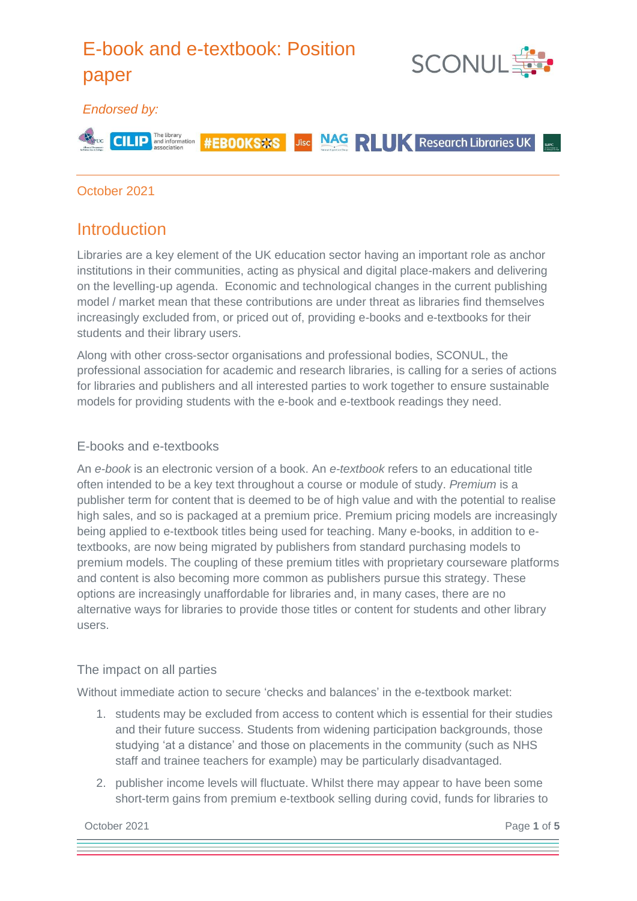# E-book and e-textbook: Position

**#EBOOKSOS** 





#### *Endorsed by:*



Jisc **NAG RILLIK** Research Libraries UK

#### October 2021

### Introduction

Libraries are a key element of the UK education sector having an important role as anchor institutions in their communities, acting as physical and digital place-makers and delivering on the levelling-up agenda. Economic and technological changes in the current publishing model / market mean that these contributions are under threat as libraries find themselves increasingly excluded from, or priced out of, providing e-books and e-textbooks for their students and their library users.

Along with other cross-sector organisations and professional bodies, SCONUL, the professional association for academic and research libraries, is calling for a series of actions for libraries and publishers and all interested parties to work together to ensure sustainable models for providing students with the e-book and e-textbook readings they need.

#### E-books and e-textbooks

An *e-book* is an electronic version of a book. An *e-textbook* refers to an educational title often intended to be a key text throughout a course or module of study. *Premium* is a publisher term for content that is deemed to be of high value and with the potential to realise high sales, and so is packaged at a premium price. Premium pricing models are increasingly being applied to e-textbook titles being used for teaching. Many e-books, in addition to etextbooks, are now being migrated by publishers from standard purchasing models to premium models. The coupling of these premium titles with proprietary courseware platforms and content is also becoming more common as publishers pursue this strategy. These options are increasingly unaffordable for libraries and, in many cases, there are no alternative ways for libraries to provide those titles or content for students and other library users.

#### The impact on all parties

Without immediate action to secure 'checks and balances' in the e-textbook market:

- 1. students may be excluded from access to content which is essential for their studies and their future success. Students from widening participation backgrounds, those studying 'at a distance' and those on placements in the community (such as NHS staff and trainee teachers for example) may be particularly disadvantaged.
- 2. publisher income levels will fluctuate. Whilst there may appear to have been some short-term gains from premium e-textbook selling during covid, funds for libraries to

**October 2021** Page 1 of 5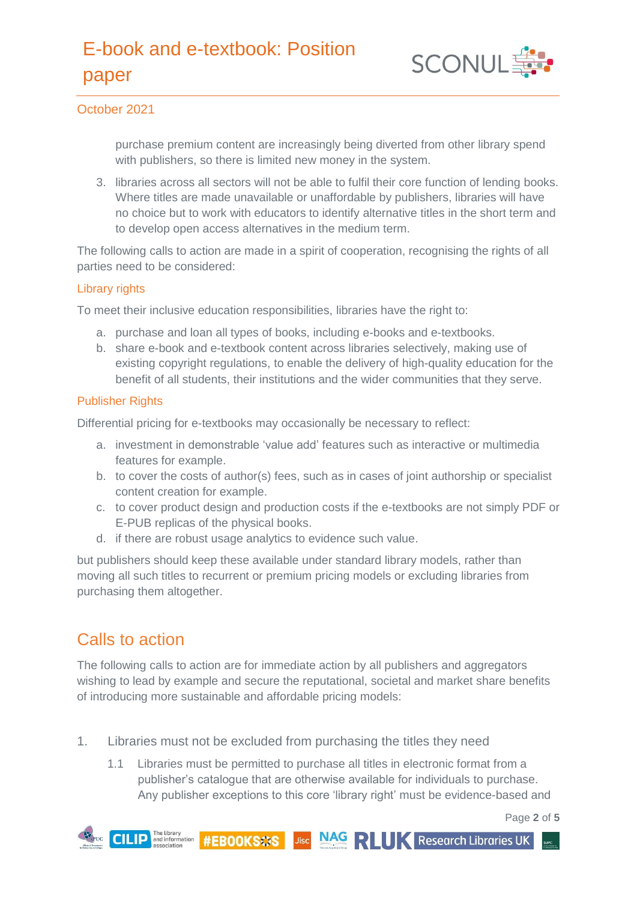## E-book and e-textbook: Position paper



#### October 2021

purchase premium content are increasingly being diverted from other library spend with publishers, so there is limited new money in the system.

3. libraries across all sectors will not be able to fulfil their core function of lending books. Where titles are made unavailable or unaffordable by publishers, libraries will have no choice but to work with educators to identify alternative titles in the short term and to develop open access alternatives in the medium term.

The following calls to action are made in a spirit of cooperation, recognising the rights of all parties need to be considered:

#### Library rights

To meet their inclusive education responsibilities, libraries have the right to:

- a. purchase and loan all types of books, including e-books and e-textbooks.
- b. share e-book and e-textbook content across libraries selectively, making use of existing copyright regulations, to enable the delivery of high-quality education for the benefit of all students, their institutions and the wider communities that they serve.

#### Publisher Rights

Differential pricing for e-textbooks may occasionally be necessary to reflect:

- a. investment in demonstrable 'value add' features such as interactive or multimedia features for example.
- b. to cover the costs of author(s) fees, such as in cases of joint authorship or specialist content creation for example.
- c. to cover product design and production costs if the e-textbooks are not simply PDF or E-PUB replicas of the physical books.
- d. if there are robust usage analytics to evidence such value.

but publishers should keep these available under standard library models, rather than moving all such titles to recurrent or premium pricing models or excluding libraries from purchasing them altogether.

### Calls to action

The following calls to action are for immediate action by all publishers and aggregators wishing to lead by example and secure the reputational, societal and market share benefits of introducing more sustainable and affordable pricing models:

- 1. Libraries must not be excluded from purchasing the titles they need
	- 1.1 Libraries must be permitted to purchase all titles in electronic format from a publisher's catalogue that are otherwise available for individuals to purchase. Any publisher exceptions to this core 'library right' must be evidence-based and

Page **2** of **5**

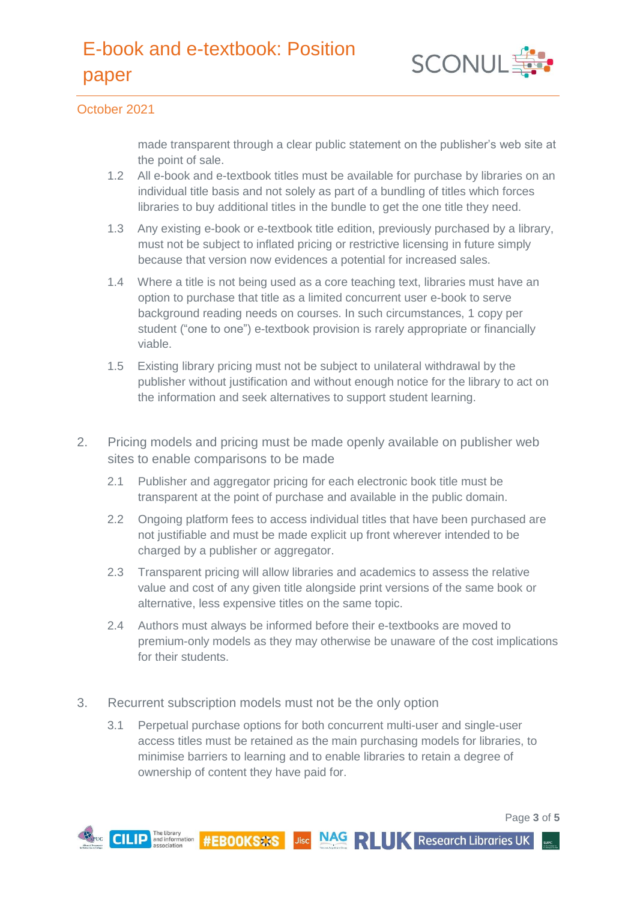

#### October 2021

made transparent through a clear public statement on the publisher's web site at the point of sale.

- 1.2 All e-book and e-textbook titles must be available for purchase by libraries on an individual title basis and not solely as part of a bundling of titles which forces libraries to buy additional titles in the bundle to get the one title they need.
- 1.3 Any existing e-book or e-textbook title edition, previously purchased by a library, must not be subject to inflated pricing or restrictive licensing in future simply because that version now evidences a potential for increased sales.
- 1.4 Where a title is not being used as a core teaching text, libraries must have an option to purchase that title as a limited concurrent user e-book to serve background reading needs on courses. In such circumstances, 1 copy per student ("one to one") e-textbook provision is rarely appropriate or financially viable.
- 1.5 Existing library pricing must not be subject to unilateral withdrawal by the publisher without justification and without enough notice for the library to act on the information and seek alternatives to support student learning.
- 2. Pricing models and pricing must be made openly available on publisher web sites to enable comparisons to be made
	- 2.1 Publisher and aggregator pricing for each electronic book title must be transparent at the point of purchase and available in the public domain.
	- 2.2 Ongoing platform fees to access individual titles that have been purchased are not justifiable and must be made explicit up front wherever intended to be charged by a publisher or aggregator.
	- 2.3 Transparent pricing will allow libraries and academics to assess the relative value and cost of any given title alongside print versions of the same book or alternative, less expensive titles on the same topic.
	- 2.4 Authors must always be informed before their e-textbooks are moved to premium-only models as they may otherwise be unaware of the cost implications for their students.
- 3. Recurrent subscription models must not be the only option
	- 3.1 Perpetual purchase options for both concurrent multi-user and single-user access titles must be retained as the main purchasing models for libraries, to minimise barriers to learning and to enable libraries to retain a degree of ownership of content they have paid for.

Page **3** of **5**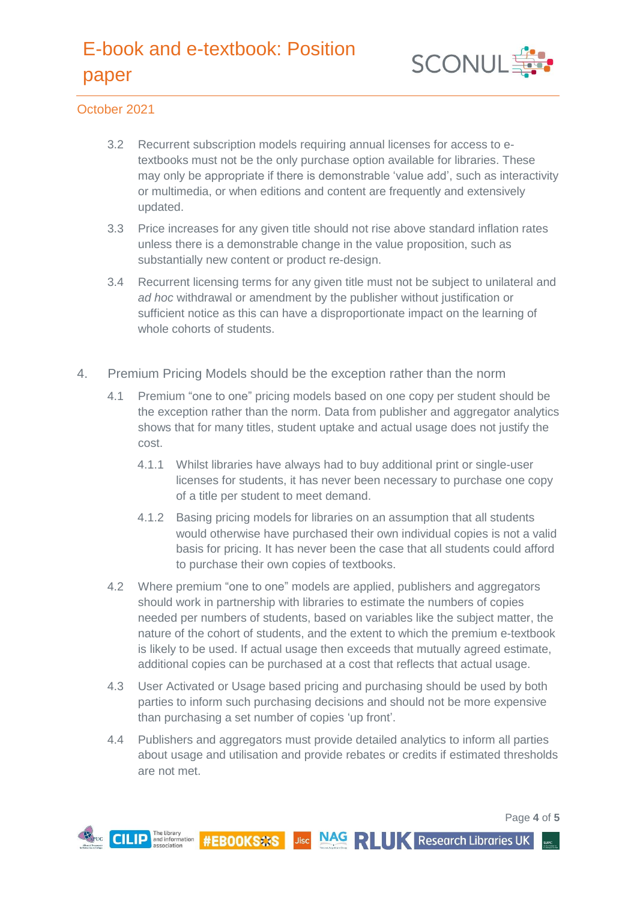## E-book and e-textbook: Position paper



#### October 2021

- 3.2 Recurrent subscription models requiring annual licenses for access to etextbooks must not be the only purchase option available for libraries. These may only be appropriate if there is demonstrable 'value add', such as interactivity or multimedia, or when editions and content are frequently and extensively updated.
- 3.3 Price increases for any given title should not rise above standard inflation rates unless there is a demonstrable change in the value proposition, such as substantially new content or product re-design.
- 3.4 Recurrent licensing terms for any given title must not be subject to unilateral and *ad hoc* withdrawal or amendment by the publisher without justification or sufficient notice as this can have a disproportionate impact on the learning of whole cohorts of students.
- 4. Premium Pricing Models should be the exception rather than the norm
	- 4.1 Premium "one to one" pricing models based on one copy per student should be the exception rather than the norm. Data from publisher and aggregator analytics shows that for many titles, student uptake and actual usage does not justify the cost.
		- 4.1.1 Whilst libraries have always had to buy additional print or single-user licenses for students, it has never been necessary to purchase one copy of a title per student to meet demand.
		- 4.1.2 Basing pricing models for libraries on an assumption that all students would otherwise have purchased their own individual copies is not a valid basis for pricing. It has never been the case that all students could afford to purchase their own copies of textbooks.
	- 4.2 Where premium "one to one" models are applied, publishers and aggregators should work in partnership with libraries to estimate the numbers of copies needed per numbers of students, based on variables like the subject matter, the nature of the cohort of students, and the extent to which the premium e-textbook is likely to be used. If actual usage then exceeds that mutually agreed estimate, additional copies can be purchased at a cost that reflects that actual usage.
	- 4.3 User Activated or Usage based pricing and purchasing should be used by both parties to inform such purchasing decisions and should not be more expensive than purchasing a set number of copies 'up front'.
	- 4.4 Publishers and aggregators must provide detailed analytics to inform all parties about usage and utilisation and provide rebates or credits if estimated thresholds are not met.